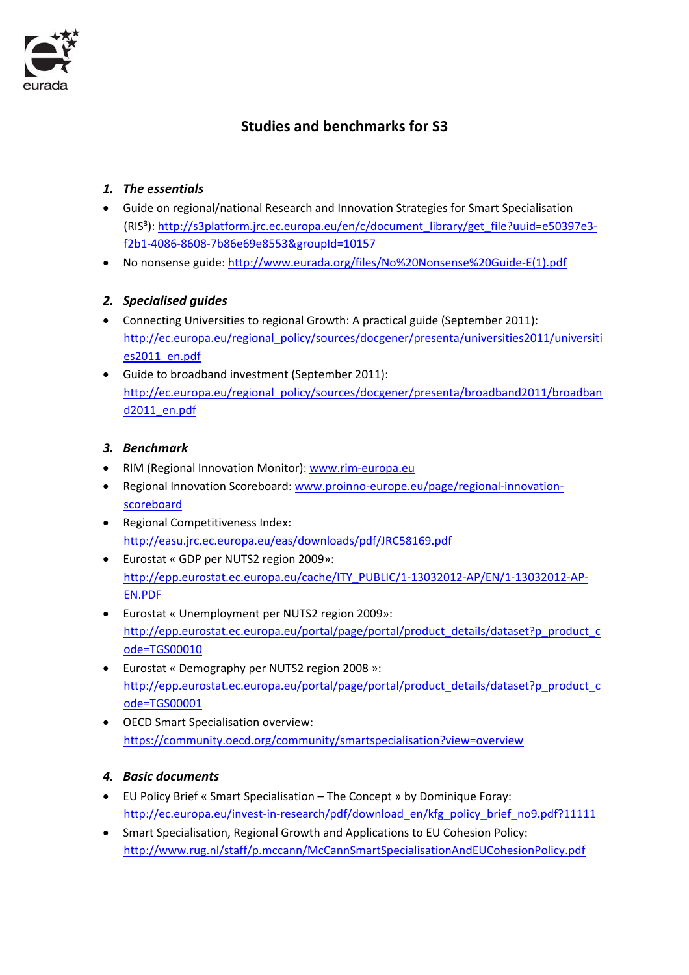

# **Studies and benchmarks for S3**

#### *1. The essentials*

- Guide on regional/national Research and Innovation Strategies for Smart Specialisation (RIS<sup>3</sup>): http://s3platform.jrc.ec.europa.eu/en/c/document\_library/get\_file?uuid=e50397e3f2b1‐4086‐8608‐7b86e69e8553&groupId=10157
- No nonsense guide: http://www.eurada.org/files/No%20Nonsense%20Guide‐E(1).pdf

#### *2. Specialised guides*

- Connecting Universities to regional Growth: A practical guide (September 2011): http://ec.europa.eu/regional\_policy/sources/docgener/presenta/universities2011/universiti es2011\_en.pdf
- Guide to broadband investment (September 2011): http://ec.europa.eu/regional\_policy/sources/docgener/presenta/broadband2011/broadban d2011\_en.pdf

#### *3. Benchmark*

- RIM (Regional Innovation Monitor): www.rim‐europa.eu
- Regional Innovation Scoreboard: www.proinno-europe.eu/page/regional-innovationscoreboard
- Regional Competitiveness Index: http://easu.jrc.ec.europa.eu/eas/downloads/pdf/JRC58169.pdf
- Eurostat « GDP per NUTS2 region 2009»: http://epp.eurostat.ec.europa.eu/cache/ITY\_PUBLIC/1-13032012-AP/EN/1-13032012-AP-EN.PDF
- Eurostat « Unemployment per NUTS2 region 2009»: http://epp.eurostat.ec.europa.eu/portal/page/portal/product\_details/dataset?p\_product\_c ode=TGS00010
- Eurostat « Demography per NUTS2 region 2008 »: http://epp.eurostat.ec.europa.eu/portal/page/portal/product\_details/dataset?p\_product\_c ode=TGS00001
- OECD Smart Specialisation overview: https://community.oecd.org/community/smartspecialisation?view=overview

#### *4. Basic documents*

- EU Policy Brief « Smart Specialisation The Concept » by Dominique Foray: http://ec.europa.eu/invest-in-research/pdf/download\_en/kfg\_policy\_brief\_no9.pdf?11111
- Smart Specialisation, Regional Growth and Applications to EU Cohesion Policy: http://www.rug.nl/staff/p.mccann/McCannSmartSpecialisationAndEUCohesionPolicy.pdf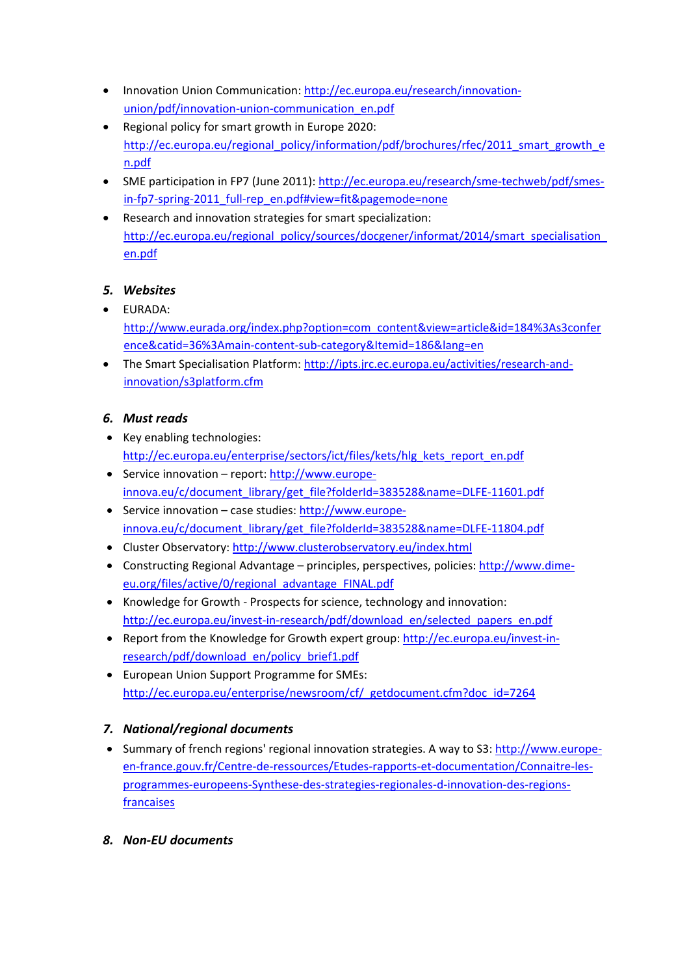- Innovation Union Communication: http://ec.europa.eu/research/innovation‐ union/pdf/innovation-union-communication\_en.pdf
- Regional policy for smart growth in Europe 2020: http://ec.europa.eu/regional\_policy/information/pdf/brochures/rfec/2011\_smart\_growth\_e n.pdf
- SME participation in FP7 (June 2011): http://ec.europa.eu/research/sme-techweb/pdf/smesin-fp7-spring-2011 full-rep\_en.pdf#view=fit&pagemode=none
- Research and innovation strategies for smart specialization: http://ec.europa.eu/regional\_policy/sources/docgener/informat/2014/smart\_specialisation en.pdf

## *5. Websites*

- EURADA: http://www.eurada.org/index.php?option=com\_content&view=article&id=184%3As3confer ence&catid=36%3Amain‐content‐sub‐category&Itemid=186&lang=en
- The Smart Specialisation Platform: http://ipts.jrc.ec.europa.eu/activities/research-andinnovation/s3platform.cfm

#### *6. Must reads*

- Key enabling technologies: http://ec.europa.eu/enterprise/sectors/ict/files/kets/hlg\_kets\_report\_en.pdf
- Service innovation report: http://www.europe‐ innova.eu/c/document\_library/get\_file?folderId=383528&name=DLFE-11601.pdf
- Service innovation case studies: http://www.europe‐ innova.eu/c/document\_library/get\_file?folderId=383528&name=DLFE‐11804.pdf
- Cluster Observatory: http://www.clusterobservatory.eu/index.html
- Constructing Regional Advantage principles, perspectives, policies: http://www.dime‐ eu.org/files/active/0/regional\_advantage\_FINAL.pdf
- Knowledge for Growth ‐ Prospects for science, technology and innovation: http://ec.europa.eu/invest-in-research/pdf/download\_en/selected\_papers\_en.pdf
- Report from the Knowledge for Growth expert group: http://ec.europa.eu/invest-inresearch/pdf/download\_en/policy\_brief1.pdf
- European Union Support Programme for SMEs: http://ec.europa.eu/enterprise/newsroom/cf/\_getdocument.cfm?doc\_id=7264

## *7. National/regional documents*

- Summary of french regions' regional innovation strategies. A way to S3: http://www.europeen-france.gouv.fr/Centre-de-ressources/Etudes-rapports-et-documentation/Connaitre-lesprogrammes‐europeens‐Synthese‐des‐strategies‐regionales‐d‐innovation‐des‐regions‐ **francaises**
- *8. Non‐EU documents*